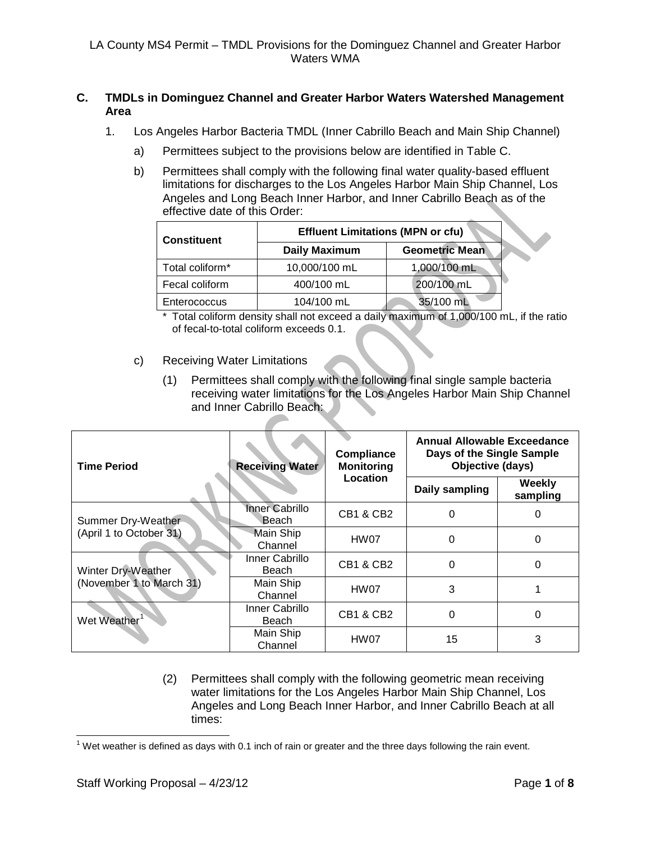## **C. TMDLs in Dominguez Channel and Greater Harbor Waters Watershed Management Area**

- 1. Los Angeles Harbor Bacteria TMDL (Inner Cabrillo Beach and Main Ship Channel)
	- a) Permittees subject to the provisions below are identified in Table C.
	- b) Permittees shall comply with the following final water quality-based effluent limitations for discharges to the Los Angeles Harbor Main Ship Channel, Los Angeles and Long Beach Inner Harbor, and Inner Cabrillo Beach as of the effective date of this Order:

| <b>Constituent</b> | <b>Effluent Limitations (MPN or cfu)</b> |                       |  |  |
|--------------------|------------------------------------------|-----------------------|--|--|
|                    | <b>Daily Maximum</b>                     | <b>Geometric Mean</b> |  |  |
| Total coliform*    | 10,000/100 mL                            | 1,000/100 mL          |  |  |
| Fecal coliform     | 400/100 mL                               | 200/100 mL            |  |  |
| Enterococcus       | 104/100 mL                               | 35/100 mL             |  |  |

<sup>\*</sup> Total coliform density shall not exceed a daily maximum of 1,000/100 mL, if the ratio of fecal-to-total coliform exceeds 0.1.

## c) Receiving Water Limitations

(1) Permittees shall comply with the following final single sample bacteria receiving water limitations for the Los Angeles Harbor Main Ship Channel and Inner Cabrillo Beach:

| <b>Time Period</b>                            | <b>Receiving Water</b>         | <b>Compliance</b><br><b>Monitoring</b> | Annual Allowable Exceedance<br>Days of the Single Sample<br>Objective (days) |                    |  |
|-----------------------------------------------|--------------------------------|----------------------------------------|------------------------------------------------------------------------------|--------------------|--|
|                                               |                                | Location                               | Daily sampling                                                               | Weekly<br>sampling |  |
| Summer Dry-Weather<br>(April 1 to October 31) | <b>Inner Cabrillo</b><br>Beach | <b>CB1 &amp; CB2</b>                   |                                                                              |                    |  |
|                                               | <b>Main Ship</b><br>Channel    | HW07                                   | 0                                                                            |                    |  |
| Winter Dry-Weather                            | Inner Cabrillo<br>Beach        | CB1 & CB2                              | 0                                                                            | 0                  |  |
| (November 1 to March 31)                      | Main Ship<br>Channel           | HW07                                   | 3                                                                            |                    |  |
| Wet Weather                                   | Inner Cabrillo<br>Beach        | <b>CB1 &amp; CB2</b>                   | 0                                                                            | 0                  |  |
|                                               | Main Ship<br>Channel           | HW07                                   | 15                                                                           | 3                  |  |

(2) Permittees shall comply with the following geometric mean receiving water limitations for the Los Angeles Harbor Main Ship Channel, Los Angeles and Long Beach Inner Harbor, and Inner Cabrillo Beach at all times:

<span id="page-0-1"></span><span id="page-0-0"></span> $1$  Wet weather is defined as days with 0.1 inch of rain or greater and the three days following the rain event.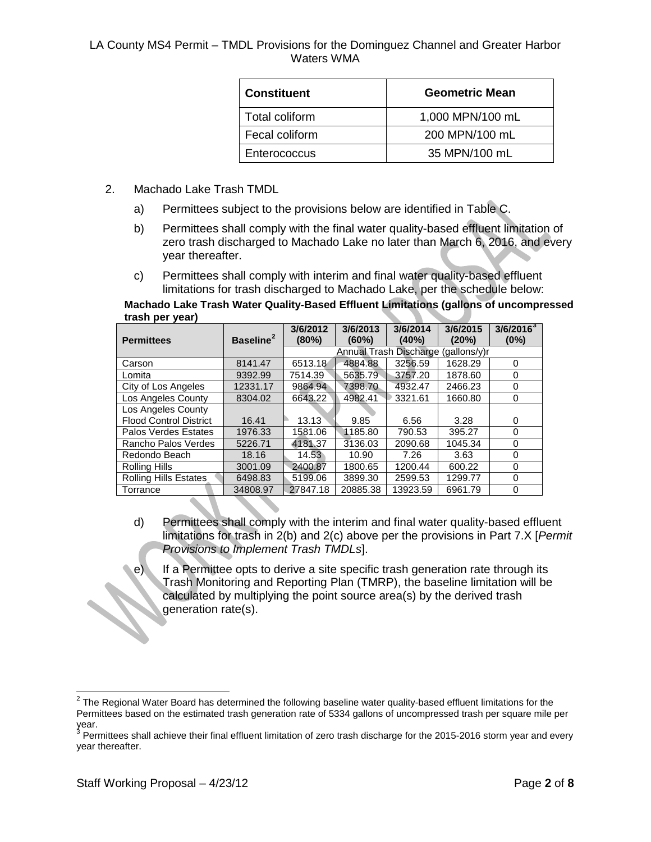| <b>Constituent</b> | <b>Geometric Mean</b> |
|--------------------|-----------------------|
| Total coliform     | 1,000 MPN/100 mL      |
| Fecal coliform     | 200 MPN/100 mL        |
| Enterococcus       | 35 MPN/100 mL         |

- 2. Machado Lake Trash TMDL
	- a) Permittees subject to the provisions below are identified in Table C.
	- b) Permittees shall comply with the final water quality-based effluent limitation of zero trash discharged to Machado Lake no later than March 6, 2016, and every year thereafter.
	- c) Permittees shall comply with interim and final water quality-based effluent limitations for trash discharged to Machado Lake, per the schedule below:

**Machado Lake Trash Water Quality-Based Effluent Limitations (gallons of uncompressed trash per year)**

| <b>Permittees</b>             | Baseline <sup>2</sup> | 3/6/2012<br>(80%) | 3/6/2013<br>(60%)                      | 3/6/2014<br>(40%) | 3/6/2015<br>(20%) | $3/6/2016^{3}$<br>$(0\%)$ |
|-------------------------------|-----------------------|-------------------|----------------------------------------|-------------------|-------------------|---------------------------|
|                               |                       |                   | Annual Trash Discharge<br>(gallons/v)r |                   |                   |                           |
| Carson                        | 8141.47               | 6513.18           | 4884.88                                | 3256.59           | 1628.29           | 0                         |
| Lomita                        | 9392.99               | 7514.39           | 5635.79                                | 3757.20           | 1878.60           | 0                         |
| City of Los Angeles           | 12331.17              | 9864.94           | 7398.70                                | 4932.47           | 2466.23           | 0                         |
| Los Angeles County            | 8304.02               | 6643.22           | 4982.41                                | 3321.61           | 1660.80           | 0                         |
| Los Angeles County            |                       |                   |                                        |                   |                   |                           |
| <b>Flood Control District</b> | 16.41                 | 13.13             | 9.85                                   | 6.56              | 3.28              | 0                         |
| Palos Verdes Estates          | 1976.33               | 1581.06           | 1185.80                                | 790.53            | 395.27            | 0                         |
| Rancho Palos Verdes           | 5226.71               | 4181.37           | 3136.03                                | 2090.68           | 1045.34           | 0                         |
| Redondo Beach                 | 18.16                 | 14.53             | 10.90                                  | 7.26              | 3.63              | 0                         |
| <b>Rolling Hills</b>          | 3001.09               | 2400.87           | 1800.65                                | 1200.44           | 600.22            | $\Omega$                  |
| Rolling Hills Estates         | 6498.83               | 5199.06           | 3899.30                                | 2599.53           | 1299.77           | 0                         |
| Torrance                      | 34808.97              | 27847.18          | 20885.38                               | 13923.59          | 6961.79           | 0                         |

- d) Permittees shall comply with the interim and final water quality-based effluent limitations for trash in 2(b) and 2(c) above per the provisions in Part 7.X [*Permit Provisions to Implement Trash TMDLs*].
- e) If a Permittee opts to derive a site specific trash generation rate through its Trash Monitoring and Reporting Plan (TMRP), the baseline limitation will be calculated by multiplying the point source area(s) by the derived trash generation rate(s).

 $2$  The Regional Water Board has determined the following baseline water quality-based effluent limitations for the Permittees based on the estimated trash generation rate of 5334 gallons of uncompressed trash per square mile per year.

<span id="page-1-1"></span><span id="page-1-0"></span> $3$  Permittees shall achieve their final effluent limitation of zero trash discharge for the 2015-2016 storm year and every year thereafter.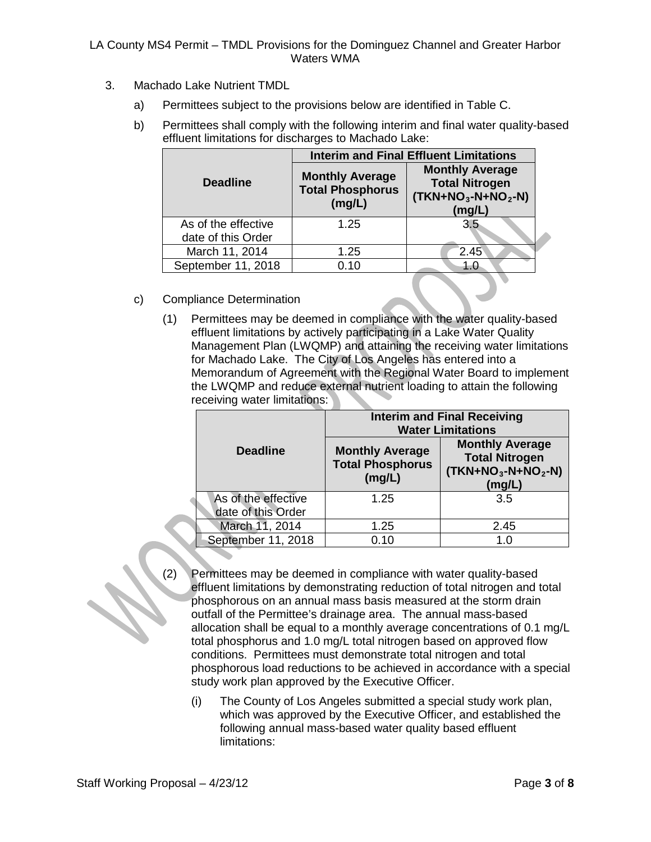- 3. Machado Lake Nutrient TMDL
	- a) Permittees subject to the provisions below are identified in Table C.
	- b) Permittees shall comply with the following interim and final water quality-based effluent limitations for discharges to Machado Lake:

|                                           | <b>Interim and Final Effluent Limitations</b>               |                                                                                  |  |  |  |
|-------------------------------------------|-------------------------------------------------------------|----------------------------------------------------------------------------------|--|--|--|
| <b>Deadline</b>                           | <b>Monthly Average</b><br><b>Total Phosphorus</b><br>(mg/L) | <b>Monthly Average</b><br><b>Total Nitrogen</b><br>$(TKN+NO3-N+NO2-N)$<br>(mg/L) |  |  |  |
| As of the effective<br>date of this Order | 1.25                                                        | 3.5                                                                              |  |  |  |
| March 11, 2014                            | 1.25                                                        | 2.45                                                                             |  |  |  |
| September 11, 2018                        | 0.10                                                        | 1.0                                                                              |  |  |  |

- c) Compliance Determination
	- (1) Permittees may be deemed in compliance with the water quality-based effluent limitations by actively participating in a Lake Water Quality Management Plan (LWQMP) and attaining the receiving water limitations for Machado Lake. The City of Los Angeles has entered into a Memorandum of Agreement with the Regional Water Board to implement the LWQMP and reduce external nutrient loading to attain the following receiving water limitations:

|                                           | <b>Interim and Final Receiving</b><br><b>Water Limitations</b> |                                                                                  |  |  |
|-------------------------------------------|----------------------------------------------------------------|----------------------------------------------------------------------------------|--|--|
| <b>Deadline</b>                           | <b>Monthly Average</b><br><b>Total Phosphorus</b><br>(mg/L)    | <b>Monthly Average</b><br><b>Total Nitrogen</b><br>$(TKN+NO3-N+NO2-N)$<br>(mg/L) |  |  |
| As of the effective<br>date of this Order | 1.25                                                           | 3.5                                                                              |  |  |
| March 11, 2014                            | 1.25                                                           | 2.45                                                                             |  |  |
| September 11, 2018                        | 0.10                                                           | 1.0                                                                              |  |  |

- (2) Permittees may be deemed in compliance with water quality-based effluent limitations by demonstrating reduction of total nitrogen and total phosphorous on an annual mass basis measured at the storm drain outfall of the Permittee's drainage area. The annual mass-based allocation shall be equal to a monthly average concentrations of 0.1 mg/L total phosphorus and 1.0 mg/L total nitrogen based on approved flow conditions. Permittees must demonstrate total nitrogen and total phosphorous load reductions to be achieved in accordance with a special study work plan approved by the Executive Officer.
	- (i) The County of Los Angeles submitted a special study work plan, which was approved by the Executive Officer, and established the following annual mass-based water quality based effluent limitations: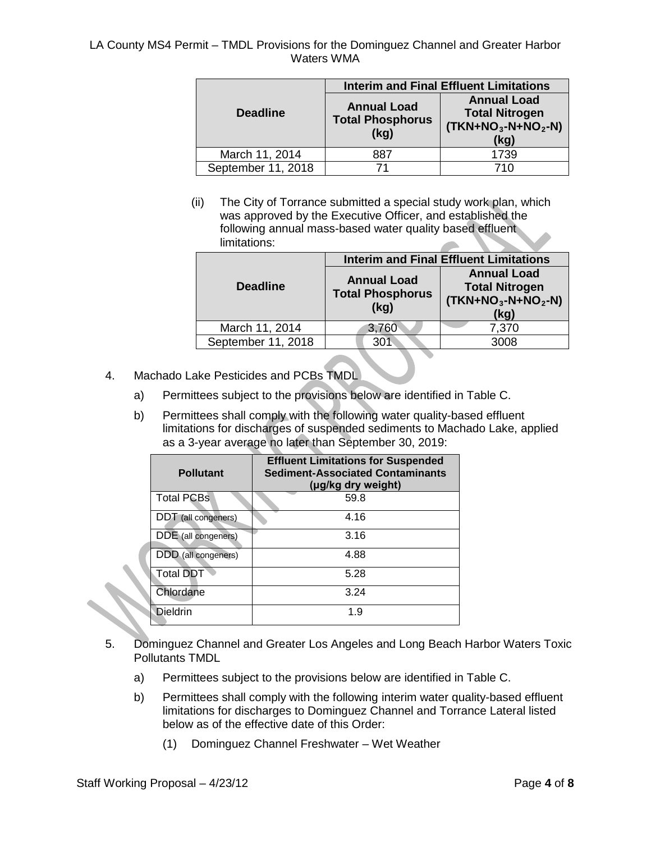|                    | <b>Interim and Final Effluent Limitations</b>         |                                                                            |  |  |
|--------------------|-------------------------------------------------------|----------------------------------------------------------------------------|--|--|
| <b>Deadline</b>    | <b>Annual Load</b><br><b>Total Phosphorus</b><br>(kg) | <b>Annual Load</b><br><b>Total Nitrogen</b><br>$(TKN+NO3-N+NO2-N)$<br>(kq) |  |  |
| March 11, 2014     | 887                                                   | 1739                                                                       |  |  |
| September 11, 2018 | 71                                                    | 710                                                                        |  |  |

(ii) The City of Torrance submitted a special study work plan, which was approved by the Executive Officer, and established the following annual mass-based water quality based effluent limitations:

| <b>Interim and Final Effluent Limitations</b>         |                                                                            |  |  |  |
|-------------------------------------------------------|----------------------------------------------------------------------------|--|--|--|
| <b>Annual Load</b><br><b>Total Phosphorus</b><br>(kg) | <b>Annual Load</b><br><b>Total Nitrogen</b><br>$(TKN+NO3-N+NO2-N)$<br>(kg) |  |  |  |
| 3,760                                                 | 7,370                                                                      |  |  |  |
| :301                                                  | 3008                                                                       |  |  |  |
|                                                       |                                                                            |  |  |  |

- 4. Machado Lake Pesticides and PCBs TMDL
	- a) Permittees subject to the provisions below are identified in Table C.
	- b) Permittees shall comply with the following water quality-based effluent limitations for discharges of suspended sediments to Machado Lake, applied as a 3-year average no later than September 30, 2019:

| <b>Pollutant</b>    | <b>Effluent Limitations for Suspended</b><br><b>Sediment-Associated Contaminants</b><br>(µg/kg dry weight) |
|---------------------|------------------------------------------------------------------------------------------------------------|
| <b>Total PCBs</b>   | 59.8                                                                                                       |
| DDT (all congeners) | 4.16                                                                                                       |
| DDE (all congeners) | 3.16                                                                                                       |
| DDD (all congeners) | 4.88                                                                                                       |
| <b>Total DDT</b>    | 5.28                                                                                                       |
| Chlordane           | 3.24                                                                                                       |
| <b>Dieldrin</b>     | 1.9                                                                                                        |

- 5. Dominguez Channel and Greater Los Angeles and Long Beach Harbor Waters Toxic Pollutants TMDL
	- a) Permittees subject to the provisions below are identified in Table C.
	- b) Permittees shall comply with the following interim water quality-based effluent limitations for discharges to Dominguez Channel and Torrance Lateral listed below as of the effective date of this Order:
		- (1) Dominguez Channel Freshwater Wet Weather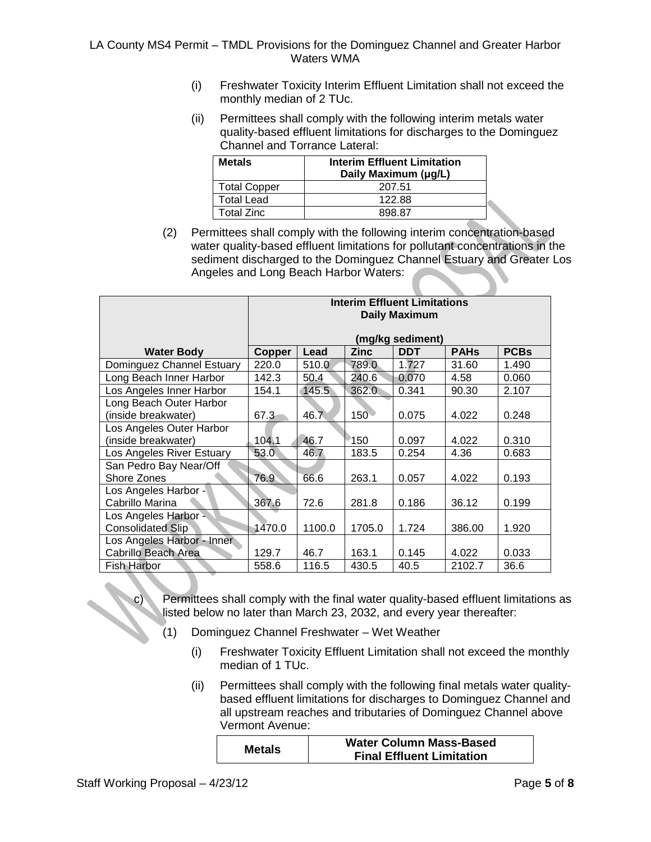- (i) Freshwater Toxicity Interim Effluent Limitation shall not exceed the monthly median of 2 TUc.
- (ii) Permittees shall comply with the following interim metals water quality-based effluent limitations for discharges to the Dominguez Channel and Torrance Lateral:

| <b>Metals</b>       | <b>Interim Effluent Limitation</b><br>Daily Maximum (µg/L) |
|---------------------|------------------------------------------------------------|
| <b>Total Copper</b> | 207.51                                                     |
| <b>Total Lead</b>   | 122.88                                                     |
| Total Zinc          | 898.87                                                     |

(2) Permittees shall comply with the following interim concentration-based water quality-based effluent limitations for pollutant concentrations in the sediment discharged to the Dominguez Channel Estuary and Greater Los Angeles and Long Beach Harbor Waters:

|                            | <b>Interim Effluent Limitations</b><br><b>Daily Maximum</b> |        |                  |                  |             |             |
|----------------------------|-------------------------------------------------------------|--------|------------------|------------------|-------------|-------------|
|                            |                                                             |        |                  | (mg/kg sediment) |             |             |
| <b>Water Body</b>          | Copper                                                      | Lead   | <b>Zinc</b>      | <b>DDT</b>       | <b>PAHs</b> | <b>PCBs</b> |
| Dominguez Channel Estuary  | 220.0                                                       | 510.0  | 789.0            | 1.727            | 31.60       | 1.490       |
| Long Beach Inner Harbor    | 142.3                                                       | 50.4   | 240.6            | 0.070            | 4.58        | 0.060       |
| Los Angeles Inner Harbor   | 154.1                                                       | 145.5  | 362.0            | 0.341            | 90.30       | 2.107       |
| Long Beach Outer Harbor    |                                                             |        |                  |                  |             |             |
| (inside breakwater)        | 67.3                                                        | 46.7   | 150 <sup>°</sup> | 0.075            | 4.022       | 0.248       |
| Los Angeles Outer Harbor   |                                                             |        |                  |                  |             |             |
| (inside breakwater)        | 104.1                                                       | 46.7   | ੈ150             | 0.097            | 4.022       | 0.310       |
| Los Angeles River Estuary  | 53.0                                                        | 46.7   | 183.5            | 0.254            | 4.36        | 0.683       |
| San Pedro Bay Near/Off     |                                                             |        |                  |                  |             |             |
| Shore Zones                | 76.9                                                        | 66.6   | 263.1            | 0.057            | 4.022       | 0.193       |
| Los Angeles Harbor -       |                                                             |        |                  |                  |             |             |
| Cabrillo Marina            | 367.6                                                       | 72.6   | 281.8            | 0.186            | 36.12       | 0.199       |
| Los Angeles Harbor -       |                                                             |        |                  |                  |             |             |
| <b>Consolidated Slip</b>   | 1470.0                                                      | 1100.0 | 1705.0           | 1.724            | 386.00      | 1.920       |
| Los Angeles Harbor - Inner |                                                             |        |                  |                  |             |             |
| Cabrillo Beach Area        | 129.7                                                       | 46.7   | 163.1            | 0.145            | 4.022       | 0.033       |
| Fish Harbor                | 558.6                                                       | 116.5  | 430.5            | 40.5             | 2102.7      | 36.6        |

Permittees shall comply with the final water quality-based effluent limitations as listed below no later than March 23, 2032, and every year thereafter:

- (1) Dominguez Channel Freshwater Wet Weather
	- (i) Freshwater Toxicity Effluent Limitation shall not exceed the monthly median of 1 TUc.
	- (ii) Permittees shall comply with the following final metals water qualitybased effluent limitations for discharges to Dominguez Channel and all upstream reaches and tributaries of Dominguez Channel above Vermont Avenue:

| <b>Metals</b> | <b>Water Column Mass-Based</b>   |
|---------------|----------------------------------|
|               | <b>Final Effluent Limitation</b> |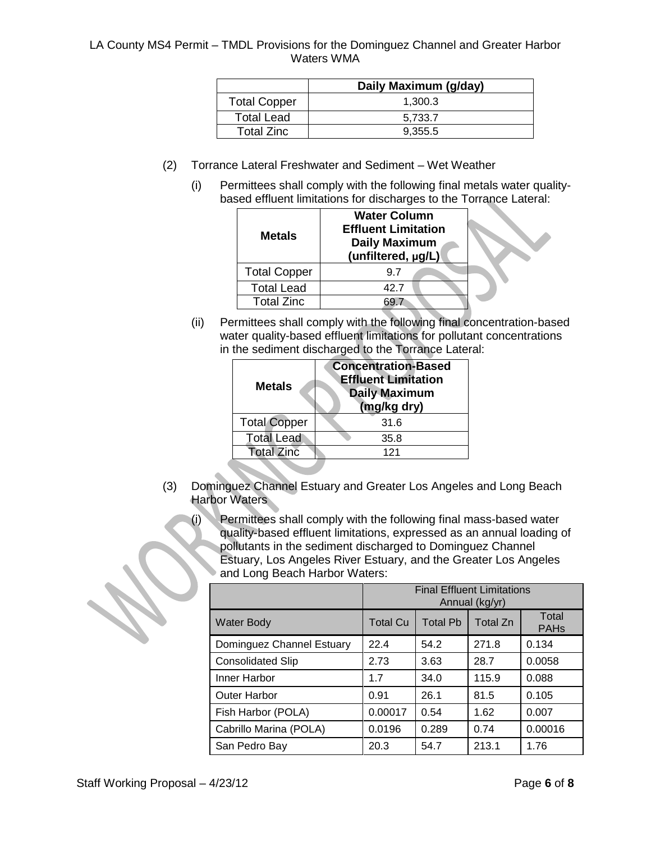|                     | Daily Maximum (g/day) |
|---------------------|-----------------------|
| <b>Total Copper</b> | 1.300.3               |
| <b>Total Lead</b>   | 5.733.7               |
| <b>Total Zinc</b>   | 9.355.5               |

- (2) Torrance Lateral Freshwater and Sediment Wet Weather
	- (i) Permittees shall comply with the following final metals water qualitybased effluent limitations for discharges to the Torrance Lateral:

| <b>Metals</b>       | <b>Water Column</b><br><b>Effluent Limitation</b><br><b>Daily Maximum</b><br>(unfiltered, µg/L) |  |
|---------------------|-------------------------------------------------------------------------------------------------|--|
| <b>Total Copper</b> | 9.7                                                                                             |  |
| <b>Total Lead</b>   | 42.7                                                                                            |  |
| <b>Total Zinc</b>   |                                                                                                 |  |

(ii) Permittees shall comply with the following final concentration-based water quality-based effluent limitations for pollutant concentrations in the sediment discharged to the Torrance Lateral:

| <b>Metals</b>       | <b>Concentration-Based</b><br><b>Effluent Limitation</b><br><b>Daily Maximum</b><br>(mg/kg dry) |  |  |
|---------------------|-------------------------------------------------------------------------------------------------|--|--|
| <b>Total Copper</b> | 31.6                                                                                            |  |  |
| <b>Total Lead</b>   | 35.8                                                                                            |  |  |
| <b>Total Zinc</b>   | 121                                                                                             |  |  |
|                     |                                                                                                 |  |  |

- (3) Dominguez Channel Estuary and Greater Los Angeles and Long Beach Harbor Waters
	- (i) Permittees shall comply with the following final mass-based water quality-based effluent limitations, expressed as an annual loading of pollutants in the sediment discharged to Dominguez Channel Estuary, Los Angeles River Estuary, and the Greater Los Angeles and Long Beach Harbor Waters:

|                           | <b>Final Effluent Limitations</b><br>Annual (kg/yr) |                 |          |                                 |
|---------------------------|-----------------------------------------------------|-----------------|----------|---------------------------------|
| <b>Water Body</b>         | <b>Total Cu</b>                                     | <b>Total Pb</b> | Total Zn | Total<br><b>PAH<sub>s</sub></b> |
| Dominguez Channel Estuary | 22.4                                                | 54.2            | 271.8    | 0.134                           |
| <b>Consolidated Slip</b>  | 2.73                                                | 3.63            | 28.7     | 0.0058                          |
| Inner Harbor              | 1.7                                                 | 34.0            | 115.9    | 0.088                           |
| <b>Outer Harbor</b>       | 0.91                                                | 26.1            | 81.5     | 0.105                           |
| Fish Harbor (POLA)        | 0.00017                                             | 0.54            | 1.62     | 0.007                           |
| Cabrillo Marina (POLA)    | 0.0196                                              | 0.289           | 0.74     | 0.00016                         |
| San Pedro Bay             | 20.3                                                | 54.7            | 213.1    | 1.76                            |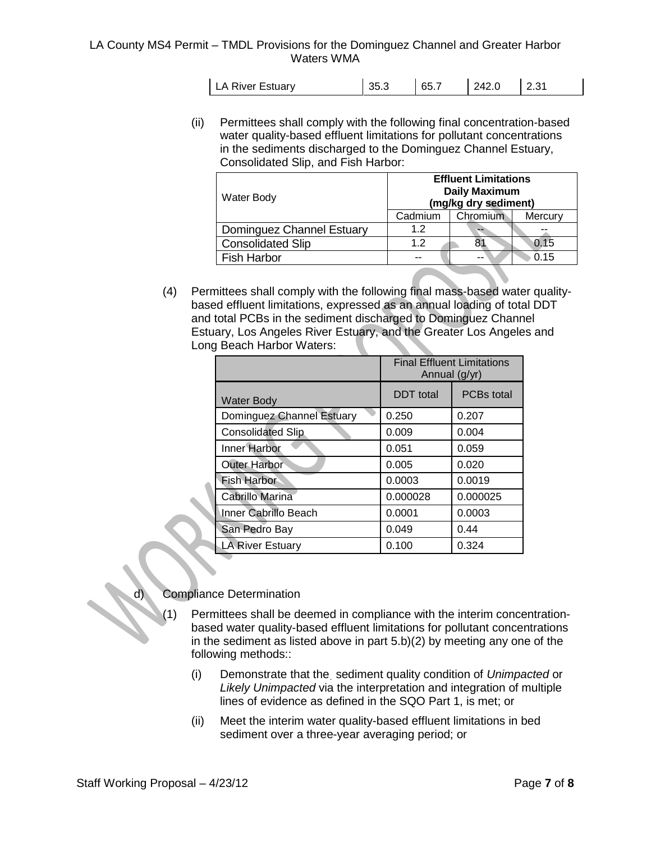| LA River Estuary | 35.3 | 65.7 | 242.0 |  |
|------------------|------|------|-------|--|
|                  |      |      |       |  |

(ii) Permittees shall comply with the following final concentration-based water quality-based effluent limitations for pollutant concentrations in the sediments discharged to the Dominguez Channel Estuary, Consolidated Slip, and Fish Harbor:

| Water Body                | <b>Effluent Limitations</b><br><b>Daily Maximum</b><br>(mg/kg dry sediment) |          |         |  |
|---------------------------|-----------------------------------------------------------------------------|----------|---------|--|
|                           | Cadmium                                                                     | Chromium | Mercury |  |
| Dominguez Channel Estuary | 1.2                                                                         | --       |         |  |
| <b>Consolidated Slip</b>  | 1.2                                                                         | 8.       | 0.15    |  |
| <b>Fish Harbor</b>        |                                                                             |          | 0.15    |  |

(4) Permittees shall comply with the following final mass-based water qualitybased effluent limitations, expressed as an annual loading of total DDT and total PCBs in the sediment discharged to Dominguez Channel Estuary, Los Angeles River Estuary, and the Greater Los Angeles and Long Beach Harbor Waters:

|                           | <b>Final Effluent Limitations</b><br>Annual (g/yr) |                   |  |
|---------------------------|----------------------------------------------------|-------------------|--|
| <b>Water Body</b>         | <b>DDT</b> total                                   | <b>PCBs</b> total |  |
| Dominguez Channel Estuary | 0.250                                              | 0.207             |  |
| <b>Consolidated Slip</b>  | 0.009                                              | 0.004             |  |
| <b>Inner Harbor</b>       | 0.051                                              | 0.059             |  |
| Outer Harbor              | 0.005                                              | 0.020             |  |
| <b>Fish Harbor</b>        | 0.0003                                             | 0.0019            |  |
| Cabrillo Marina           | 0.000028                                           | 0.000025          |  |
| Inner Cabrillo Beach      | 0.0001                                             | 0.0003            |  |
| San Pedro Bay             | 0.049                                              | 0.44              |  |
| <b>LA River Estuary</b>   | 0.100                                              | 0.324             |  |

# **Compliance Determination**

- Permittees shall be deemed in compliance with the interim concentrationbased water quality-based effluent limitations for pollutant concentrations in the sediment as listed above in part 5.b)(2) by meeting any one of the following methods::
	- (i) Demonstrate that the. sediment quality condition of *Unimpacted* or *Likely Unimpacted* via the interpretation and integration of multiple lines of evidence as defined in the SQO Part 1, is met; or
	- (ii) Meet the interim water quality-based effluent limitations in bed sediment over a three-year averaging period; or